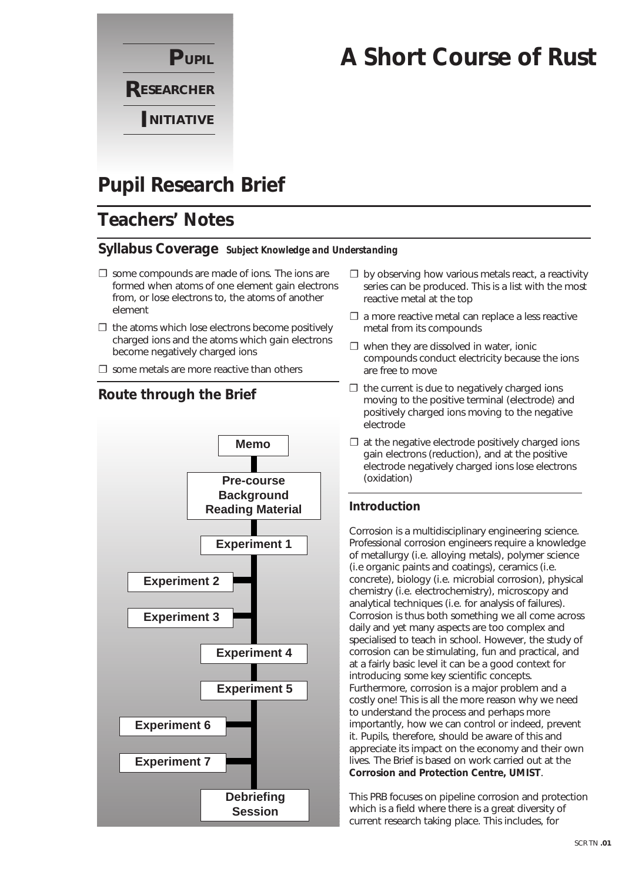

# **A Short Course of Rust**

# **Pupil Research Brief**

## **Teachers' Notes**

### **Syllabus Coverage** *Subject Knowledge and Understanding*

- $\square$  some compounds are made of ions. The ions are formed when atoms of one element gain electrons from, or lose electrons to, the atoms of another element
- $\Box$  the atoms which lose electrons become positively charged ions and the atoms which gain electrons become negatively charged ions
- $\square$  some metals are more reactive than others



series can be produced. This is a list with the most reactive metal at the top

□ by observing how various metals react, a reactivity

- $\square$  a more reactive metal can replace a less reactive metal from its compounds
- $\square$  when they are dissolved in water, ionic compounds conduct electricity because the ions are free to move
- $\Box$  the current is due to negatively charged ions moving to the positive terminal (electrode) and positively charged ions moving to the negative electrode
- $\Box$  at the negative electrode positively charged ions gain electrons (reduction), and at the positive electrode negatively charged ions lose electrons (oxidation)

### **Introduction**

Corrosion is a multidisciplinary engineering science. Professional corrosion engineers require a knowledge of metallurgy (i.e. alloying metals), polymer science (i.e organic paints and coatings), ceramics (i.e. concrete), biology (i.e. microbial corrosion), physical chemistry (i.e. electrochemistry), microscopy and analytical techniques (i.e. for analysis of failures). Corrosion is thus both something we all come across daily and yet many aspects are too complex and specialised to teach in school. However, the study of corrosion can be stimulating, fun and practical, and at a fairly basic level it can be a good context for introducing some key scientific concepts. Furthermore, corrosion is a major problem and a costly one! This is all the more reason why we need to understand the process and perhaps more importantly, how we can control or indeed, prevent it. Pupils, therefore, should be aware of this and appreciate its impact on the economy and their own lives. The Brief is based on work carried out at the **Corrosion and Protection Centre, UMIST**.

This PRB focuses on pipeline corrosion and protection which is a field where there is a great diversity of current research taking place. This includes, for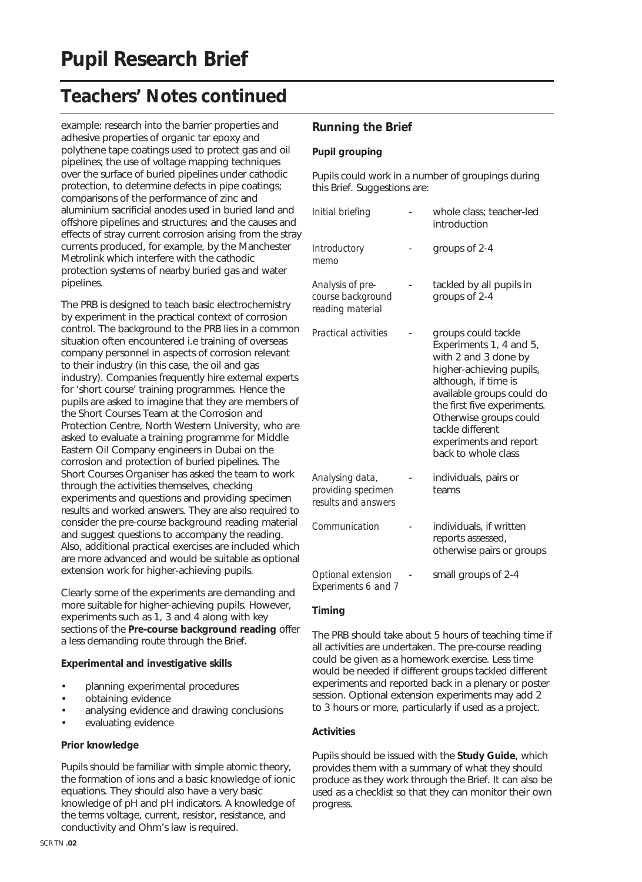example: research into the barrier properties and adhesive properties of organic tar epoxy and polythene tape coatings used to protect gas and oil pipelines; the use of voltage mapping techniques over the surface of buried pipelines under cathodic protection, to determine defects in pipe coatings; comparisons of the performance of zinc and aluminium sacrificial anodes used in buried land and offshore pipelines and structures; and the causes and effects of stray current corrosion arising from the stray currents produced, for example, by the Manchester Metrolink which interfere with the cathodic protection systems of nearby buried gas and water pipelines.

The PRB is designed to teach basic electrochemistry by experiment in the practical context of corrosion control. The background to the PRB lies in a common situation often encountered i.e training of overseas company personnel in aspects of corrosion relevant to their industry (in this case, the oil and gas industry). Companies frequently hire external experts for 'short course' training programmes. Hence the pupils are asked to imagine that they are members of the Short Courses Team at the Corrosion and Protection Centre, North Western University, who are asked to evaluate a training programme for Middle Eastern Oil Company engineers in Dubai on the corrosion and protection of buried pipelines. The Short Courses Organiser has asked the team to work through the activities themselves, checking experiments and questions and providing specimen results and worked answers. They are also required to consider the pre-course background reading material and suggest questions to accompany the reading. Also, additional practical exercises are included which are more advanced and would be suitable as optional extension work for higher-achieving pupils.

Clearly some of the experiments are demanding and more suitable for higher-achieving pupils. However, experiments such as 1, 3 and 4 along with key sections of the **Pre-course background reading** offer a less demanding route through the Brief.

### **Experimental and investigative skills**

- planning experimental procedures
- obtaining evidence
- analysing evidence and drawing conclusions
- evaluating evidence

### **Prior knowledge**

Pupils should be familiar with simple atomic theory, the formation of ions and a basic knowledge of ionic equations. They should also have a very basic knowledge of pH and pH indicators. A knowledge of the terms voltage, current, resistor, resistance, and conductivity and Ohm's law is required.

#### SCR TN **.02**

### **Running the Brief**

#### **Pupil grouping**

Pupils could work in a number of groupings during this Brief. Suggestions are:

| Initial briefing                                             | whole class: teacher-led<br>introduction                                                                                                                                                                                                                                              |
|--------------------------------------------------------------|---------------------------------------------------------------------------------------------------------------------------------------------------------------------------------------------------------------------------------------------------------------------------------------|
| Introductory<br>memo                                         | groups of 2-4                                                                                                                                                                                                                                                                         |
| Analysis of pre-<br>course background<br>reading material    | tackled by all pupils in<br>groups of 2-4                                                                                                                                                                                                                                             |
| Practical activities                                         | groups could tackle<br>Experiments 1, 4 and 5,<br>with 2 and 3 done by<br>higher-achieving pupils,<br>although, if time is<br>available groups could do<br>the first five experiments.<br>Otherwise groups could<br>tackle different<br>experiments and report<br>back to whole class |
| Analysing data,<br>providing specimen<br>results and answers | individuals, pairs or<br>teams                                                                                                                                                                                                                                                        |
| Communication                                                | individuals, if written<br>reports assessed,<br>otherwise pairs or groups                                                                                                                                                                                                             |
| Optional extension<br>Experiments 6 and 7                    | small groups of 2-4                                                                                                                                                                                                                                                                   |

### **Timing**

The PRB should take about 5 hours of teaching time if all activities are undertaken. The pre-course reading could be given as a homework exercise. Less time would be needed if different groups tackled different experiments and reported back in a plenary or poster session. Optional extension experiments may add 2 to 3 hours or more, particularly if used as a project.

#### **Activities**

Pupils should be issued with the **Study Guide**, which provides them with a summary of what they should produce as they work through the Brief. It can also be used as a checklist so that they can monitor their own progress.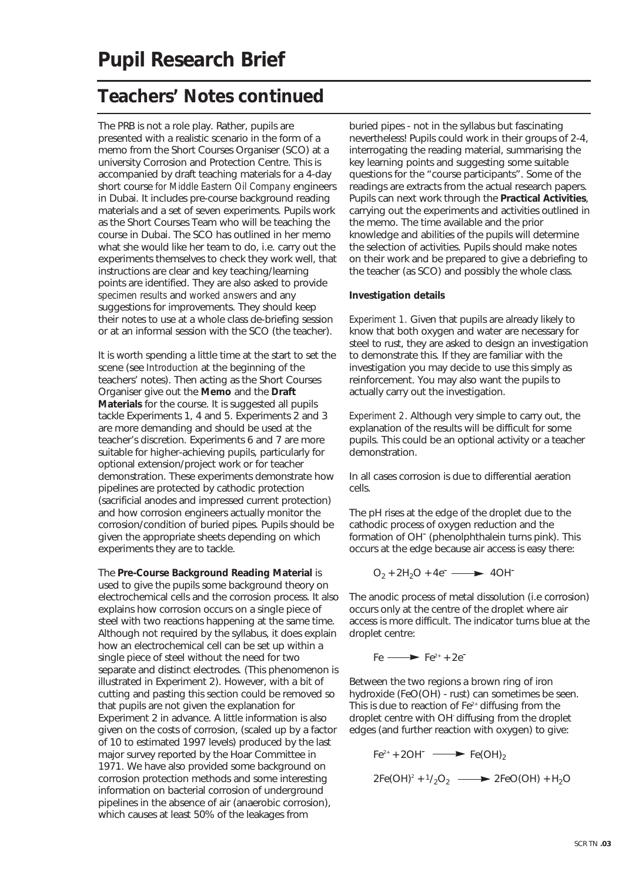The PRB is not a role play. Rather, pupils are presented with a realistic scenario in the form of a memo from the Short Courses Organiser (SCO) at a university Corrosion and Protection Centre. This is accompanied by draft teaching materials for a 4-day short course *for Middle Eastern Oil Company* engineers in Dubai. It includes pre-course background reading materials and a set of seven experiments. Pupils work as the Short Courses Team who will be teaching the course in Dubai. The SCO has outlined in her memo what she would like her team to do, i.e. carry out the experiments themselves to check they work well, that instructions are clear and key teaching/learning points are identified. They are also asked to provide *specimen results* and *worked answers* and any suggestions for improvements. They should keep their notes to use at a whole class de-briefing session or at an informal session with the SCO (the teacher).

It is worth spending a little time at the start to set the scene (see *Introduction* at the beginning of the teachers' notes). Then acting as the Short Courses Organiser give out the **Memo** and the **Draft Materials** for the course. It is suggested all pupils tackle Experiments 1, 4 and 5. Experiments 2 and 3 are more demanding and should be used at the teacher's discretion. Experiments 6 and 7 are more suitable for higher-achieving pupils, particularly for optional extension/project work or for teacher demonstration. These experiments demonstrate how pipelines are protected by cathodic protection (sacrificial anodes and impressed current protection) and how corrosion engineers actually monitor the corrosion/condition of buried pipes. Pupils should be given the appropriate sheets depending on which experiments they are to tackle.

The **Pre-Course Background Reading Material** is used to give the pupils some background theory on electrochemical cells and the corrosion process. It also explains how corrosion occurs on a single piece of steel with two reactions happening at the same time. Although not required by the syllabus, it does explain how an electrochemical cell can be set up within a single piece of steel without the need for two separate and distinct electrodes. (This phenomenon is illustrated in Experiment 2). However, with a bit of cutting and pasting this section could be removed so that pupils are not given the explanation for Experiment 2 in advance. A little information is also given on the costs of corrosion, (scaled up by a factor of 10 to estimated 1997 levels) produced by the last major survey reported by the Hoar Committee in 1971. We have also provided some background on corrosion protection methods and some interesting information on bacterial corrosion of underground pipelines in the absence of air (anaerobic corrosion), which causes at least 50% of the leakages from

buried pipes - not in the syllabus but fascinating nevertheless! Pupils could work in their groups of 2-4, interrogating the reading material, summarising the key learning points and suggesting some suitable questions for the "course participants". Some of the readings are extracts from the actual research papers. Pupils can next work through the **Practical Activities**, carrying out the experiments and activities outlined in the memo. The time available and the prior knowledge and abilities of the pupils will determine the selection of activities. Pupils should make notes on their work and be prepared to give a debriefing to the teacher (as SCO) and possibly the whole class.

### **Investigation details**

*Experiment 1.* Given that pupils are already likely to know that both oxygen and water are necessary for steel to rust, they are asked to design an investigation to demonstrate this. If they are familiar with the investigation you may decide to use this simply as reinforcement. You may also want the pupils to actually carry out the investigation.

*Experiment 2*. Although very simple to carry out, the explanation of the results will be difficult for some pupils. This could be an optional activity or a teacher demonstration.

In all cases corrosion is due to differential aeration cells.

The pH rises at the edge of the droplet due to the cathodic process of oxygen reduction and the formation of OH<sup>-</sup> (phenolphthalein turns pink). This occurs at the edge because air access is easy there:

$$
O_2 + 2H_2O + 4e^- \longrightarrow 4OH^-
$$

The anodic process of metal dissolution (i.e corrosion) occurs only at the centre of the droplet where air access is more difficult. The indicator turns blue at the droplet centre:

$$
Fe \longrightarrow Fe^{2+} + 2e^-
$$

Between the two regions a brown ring of iron hydroxide (FeO(OH) - rust) can sometimes be seen. This is due to reaction of  $Fe<sup>2+</sup>$  diffusing from the droplet centre with OH diffusing from the droplet edges (and further reaction with oxygen) to give:

$$
Fe2+ + 2OH^- \longrightarrow Fe(OH)2
$$
  

$$
2Fe(OH)2 + 1/2O2 \longrightarrow 2FeO(OH) + H2O
$$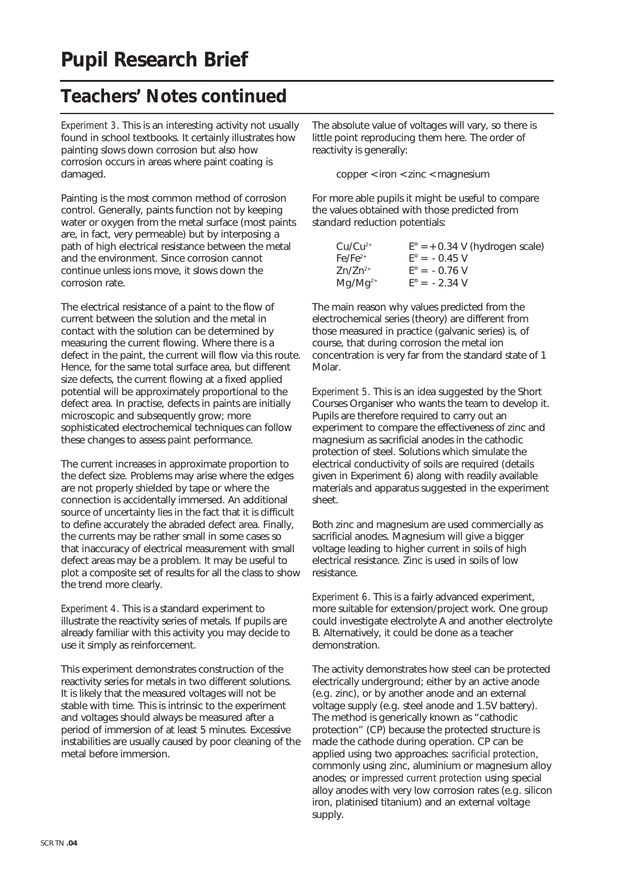*Experiment 3*. This is an interesting activity not usually found in school textbooks. It certainly illustrates how painting slows down corrosion but also how corrosion occurs in areas where paint coating is damaged.

Painting is the most common method of corrosion control. Generally, paints function not by keeping water or oxygen from the metal surface (most paints are, in fact, very permeable) but by interposing a path of high electrical resistance between the metal and the environment. Since corrosion cannot continue unless ions move, it slows down the corrosion rate.

The electrical resistance of a paint to the flow of current between the solution and the metal in contact with the solution can be determined by measuring the current flowing. Where there is a defect in the paint, the current will flow via this route. Hence, for the same total surface area, but different size defects, the current flowing at a fixed applied potential will be approximately proportional to the defect area. In practise, defects in paints are initially microscopic and subsequently grow; more sophisticated electrochemical techniques can follow these changes to assess paint performance.

The current increases in approximate proportion to the defect size. Problems may arise where the edges are not properly shielded by tape or where the connection is accidentally immersed. An additional source of uncertainty lies in the fact that it is difficult to define accurately the abraded defect area. Finally, the currents may be rather small in some cases so that inaccuracy of electrical measurement with small defect areas may be a problem. It may be useful to plot a composite set of results for all the class to show the trend more clearly.

*Experiment 4*. This is a standard experiment to illustrate the reactivity series of metals. If pupils are already familiar with this activity you may decide to use it simply as reinforcement.

This experiment demonstrates construction of the reactivity series for metals in two different solutions. It is likely that the measured voltages will not be stable with time. This is intrinsic to the experiment and voltages should always be measured after a period of immersion of at least 5 minutes. Excessive instabilities are usually caused by poor cleaning of the metal before immersion.

The absolute value of voltages will vary, so there is little point reproducing them here. The order of reactivity is generally:

copper < iron < zinc < magnesium

For more able pupils it might be useful to compare the values obtained with those predicted from standard reduction potentials:

| $Cu/Cu^{2+}$ | $E^{\circ} = +0.34$ V (hydrogen scale) |
|--------------|----------------------------------------|
| $Fe/Fe2+$    | $F^{\circ} = -0.45$ V                  |
| $Zn/Zn^{2+}$ | $F^{\circ} = -0.76$ V                  |
| $Mq/Mq^{2+}$ | $E^{\circ} = -2.34$ V                  |

The main reason why values predicted from the electrochemical series (theory) are different from those measured in practice (galvanic series) is, of course, that during corrosion the metal ion concentration is very far from the standard state of 1 Molar.

*Experiment 5*. This is an idea suggested by the Short Courses Organiser who wants the team to develop it. Pupils are therefore required to carry out an experiment to compare the effectiveness of zinc and magnesium as sacrificial anodes in the cathodic protection of steel. Solutions which simulate the electrical conductivity of soils are required (details given in Experiment 6) along with readily available materials and apparatus suggested in the experiment sheet.

Both zinc and magnesium are used commercially as sacrificial anodes. Magnesium will give a bigger voltage leading to higher current in soils of high electrical resistance. Zinc is used in soils of low resistance.

*Experiment 6*. This is a fairly advanced experiment, more suitable for extension/project work. One group could investigate electrolyte A and another electrolyte B. Alternatively, it could be done as a teacher demonstration.

The activity demonstrates how steel can be protected electrically underground; either by an active anode (e.g. zinc), or by another anode and an external voltage supply (e.g. steel anode and 1.5V battery). The method is generically known as "cathodic protection" (CP) because the protected structure is made the cathode during operation. CP can be applied using two approaches: *sacrificial protection*, commonly using zinc, aluminium or magnesium alloy anodes; or i*mpressed current protection* using special alloy anodes with very low corrosion rates (e.g. silicon iron, platinised titanium) and an external voltage supply.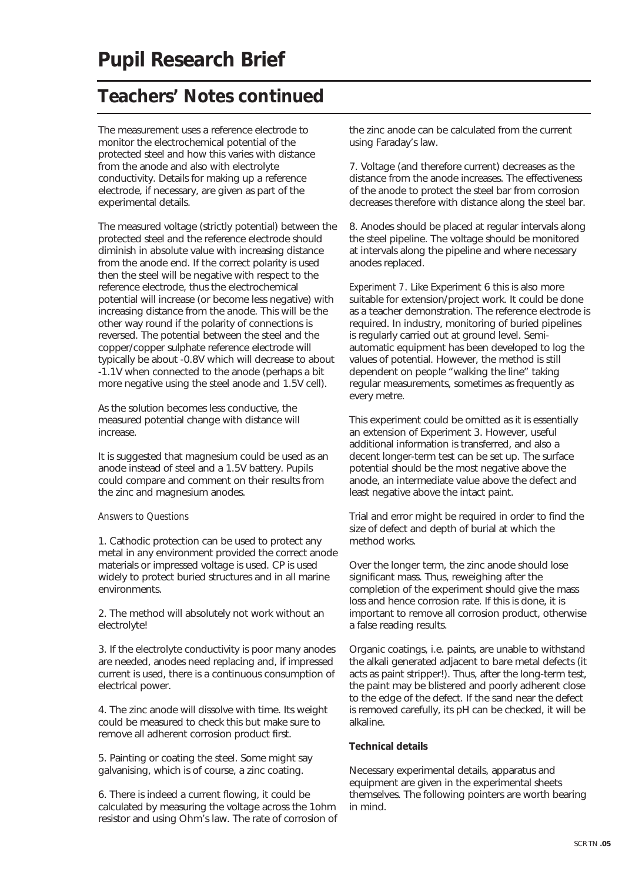The measurement uses a reference electrode to monitor the electrochemical potential of the protected steel and how this varies with distance from the anode and also with electrolyte conductivity. Details for making up a reference electrode, if necessary, are given as part of the experimental details.

The measured voltage (strictly potential) between the protected steel and the reference electrode should diminish in absolute value with increasing distance from the anode end. If the correct polarity is used then the steel will be negative with respect to the reference electrode, thus the electrochemical potential will increase (or become less negative) with increasing distance from the anode. This will be the other way round if the polarity of connections is reversed. The potential between the steel and the copper/copper sulphate reference electrode will typically be about -0.8V which will decrease to about -1.1V when connected to the anode (perhaps a bit more negative using the steel anode and 1.5V cell).

As the solution becomes less conductive, the measured potential change with distance will increase.

It is suggested that magnesium could be used as an anode instead of steel and a 1.5V battery. Pupils could compare and comment on their results from the zinc and magnesium anodes.

### *Answers to Questions*

1. Cathodic protection can be used to protect any metal in any environment provided the correct anode materials or impressed voltage is used. CP is used widely to protect buried structures and in all marine environments.

2. The method will absolutely not work without an electrolyte!

3. If the electrolyte conductivity is poor many anodes are needed, anodes need replacing and, if impressed current is used, there is a continuous consumption of electrical power.

4. The zinc anode will dissolve with time. Its weight could be measured to check this but make sure to remove all adherent corrosion product first.

5. Painting or coating the steel. Some might say galvanising, which is of course, a zinc coating.

6. There is indeed a current flowing, it could be calculated by measuring the voltage across the 1ohm resistor and using Ohm's law. The rate of corrosion of the zinc anode can be calculated from the current using Faraday's law.

7. Voltage (and therefore current) decreases as the distance from the anode increases. The effectiveness of the anode to protect the steel bar from corrosion decreases therefore with distance along the steel bar.

8. Anodes should be placed at regular intervals along the steel pipeline. The voltage should be monitored at intervals along the pipeline and where necessary anodes replaced.

*Experiment 7*. Like Experiment 6 this is also more suitable for extension/project work. It could be done as a teacher demonstration. The reference electrode is required. In industry, monitoring of buried pipelines is regularly carried out at ground level. Semiautomatic equipment has been developed to log the values of potential. However, the method is still dependent on people "walking the line" taking regular measurements, sometimes as frequently as every metre.

This experiment could be omitted as it is essentially an extension of Experiment 3. However, useful additional information is transferred, and also a decent longer-term test can be set up. The surface potential should be the most negative above the anode, an intermediate value above the defect and least negative above the intact paint.

Trial and error might be required in order to find the size of defect and depth of burial at which the method works.

Over the longer term, the zinc anode should lose significant mass. Thus, reweighing after the completion of the experiment should give the mass loss and hence corrosion rate. If this is done, it is important to remove all corrosion product, otherwise a false reading results.

Organic coatings, i.e. paints, are unable to withstand the alkali generated adjacent to bare metal defects (it acts as paint stripper!). Thus, after the long-term test, the paint may be blistered and poorly adherent close to the edge of the defect. If the sand near the defect is removed carefully, its pH can be checked, it will be alkaline.

### **Technical details**

Necessary experimental details, apparatus and equipment are given in the experimental sheets themselves. The following pointers are worth bearing in mind.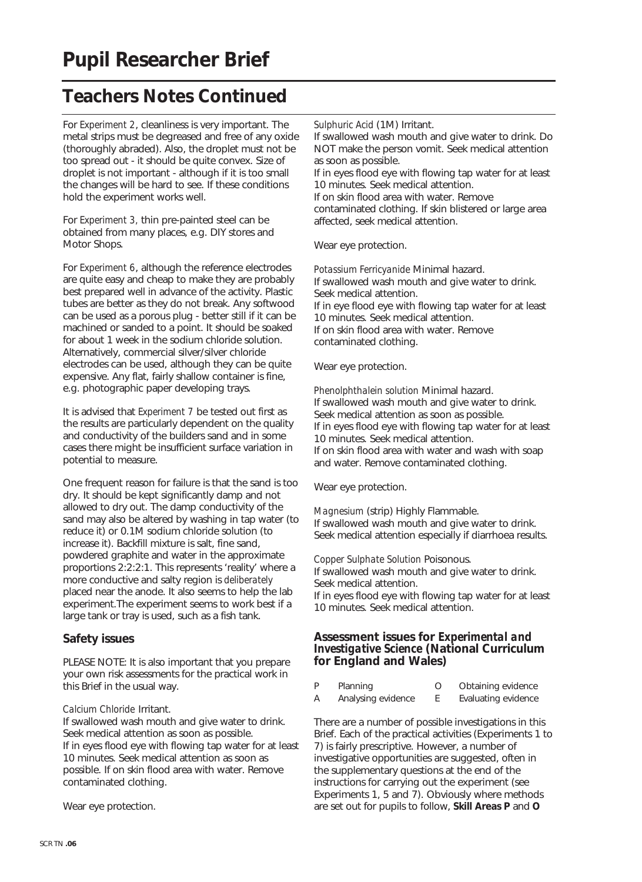For *Experiment 2*, cleanliness is very important. The metal strips must be degreased and free of any oxide (thoroughly abraded). Also, the droplet must not be too spread out - it should be quite convex. Size of droplet is not important - although if it is too small the changes will be hard to see. If these conditions hold the experiment works well.

For *Experiment 3,* thin pre-painted steel can be obtained from many places, e.g. DIY stores and Motor Shops.

For *Experiment 6*, although the reference electrodes are quite easy and cheap to make they are probably best prepared well in advance of the activity. Plastic tubes are better as they do not break. Any softwood can be used as a porous plug - better still if it can be machined or sanded to a point. It should be soaked for about 1 week in the sodium chloride solution. Alternatively, commercial silver/silver chloride electrodes can be used, although they can be quite expensive. Any flat, fairly shallow container is fine, e.g. photographic paper developing trays.

It is advised that *Experiment 7* be tested out first as the results are particularly dependent on the quality and conductivity of the builders sand and in some cases there might be insufficient surface variation in potential to measure.

One frequent reason for failure is that the sand is too dry. It should be kept significantly damp and not allowed to dry out. The damp conductivity of the sand may also be altered by washing in tap water (to reduce it) or 0.1M sodium chloride solution (to increase it). Backfill mixture is salt, fine sand, powdered graphite and water in the approximate proportions 2:2:2:1. This represents 'reality' where a more conductive and salty region is *deliberately* placed near the anode. It also seems to help the lab experiment.The experiment seems to work best if a large tank or tray is used, such as a fish tank.

### **Safety issues**

PLEASE NOTE: It is also important that you prepare your own risk assessments for the practical work in this Brief in the usual way.

### *Calcium Chloride* Irritant.

If swallowed wash mouth and give water to drink. Seek medical attention as soon as possible. If in eyes flood eye with flowing tap water for at least 10 minutes. Seek medical attention as soon as possible. If on skin flood area with water. Remove contaminated clothing.

Wear eye protection.

*Sulphuric Acid* (1M) Irritant.

If swallowed wash mouth and give water to drink. Do NOT make the person vomit. Seek medical attention as soon as possible. If in eyes flood eye with flowing tap water for at least 10 minutes. Seek medical attention.

If on skin flood area with water. Remove

contaminated clothing. If skin blistered or large area affected, seek medical attention.

Wear eye protection.

*Potassium Ferricyanide* Minimal hazard. If swallowed wash mouth and give water to drink. Seek medical attention. If in eye flood eye with flowing tap water for at least 10 minutes. Seek medical attention. If on skin flood area with water. Remove contaminated clothing.

Wear eye protection.

*Phenolphthalein solution* Minimal hazard. If swallowed wash mouth and give water to drink. Seek medical attention as soon as possible. If in eyes flood eye with flowing tap water for at least 10 minutes. Seek medical attention. If on skin flood area with water and wash with soap and water. Remove contaminated clothing.

Wear eye protection.

*Magnesium* (strip) Highly Flammable. If swallowed wash mouth and give water to drink. Seek medical attention especially if diarrhoea results.

*Copper Sulphate Solution* Poisonous.

If swallowed wash mouth and give water to drink. Seek medical attention.

If in eyes flood eye with flowing tap water for at least 10 minutes. Seek medical attention.

### **Assessment issues for** *Experimental and Investigative Science* **(National Curriculum for England and Wales)**

| P | Planning           | Obtaining evidence  |
|---|--------------------|---------------------|
| A | Analysing evidence | Evaluating evidence |

There are a number of possible investigations in this Brief. Each of the practical activities (Experiments 1 to 7) is fairly prescriptive. However, a number of investigative opportunities are suggested, often in the supplementary questions at the end of the instructions for carrying out the experiment (see Experiments 1, 5 and 7). Obviously where methods are set out for pupils to follow, **Skill Areas P** and **O**